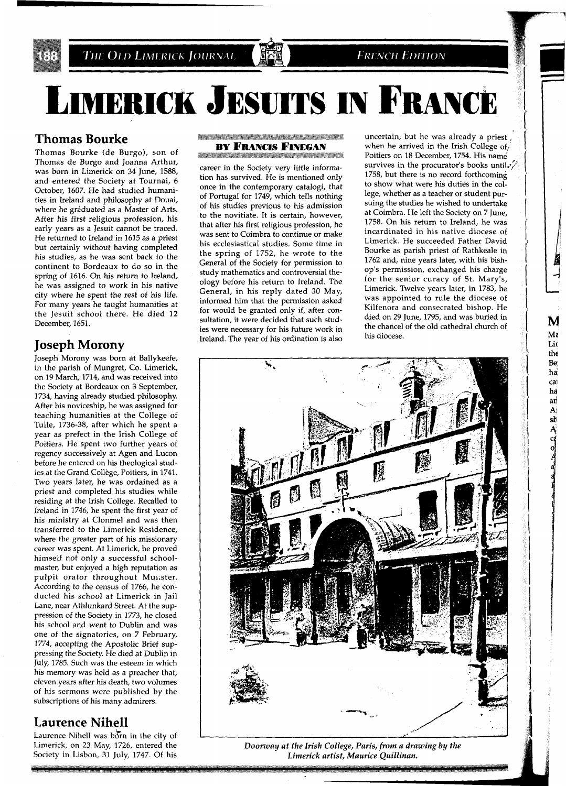

THE OLD LIMERICK JOURNAL

# **LIMERICK JESUITS IN FRANCE**

# **Thomas Bourke**

Thomas Bourke (de Burgo), son of Thomas de Burgo and Joanna Arthur, was born in Limerick on 34 June, 1588, and entered the Society at Tournai, 6 October, 1607. He had studied humanities in Ireland and philosophy at Douai, where he gráduated as a Master of Arts. After his first religious profession, his early years as a Jesuit cannot be traced. He returned to Ireland in 1615 as a priest but certainly without having completed his studies, as he was sent back to the continent to Bordeaux to do so in the spring of 1616. On his return to Ireland, he was assigned to work in his native city where he spent the rest of his life. For many years he taught humanities at the Jesuit school there. He died 12 December, 1651.

# **Joseph Morony**

Joseph Morony was born at Ballykeefe, in the parish of Mungret, Co. Limerick, on 19 March, 1714, and was received into the Society at Bordeaux on 3 September, 1734, having already studied philosophy. After his noviceship, he was assigned for teaching humanities at the College of Tulle, 1736-38, after which he spent a year as prefect in the Irish College of Poitiers. He spent two further years of regency successively at Agen and Lucon before he entered on his theological studies at the Grand College, Poitiers, in 1741. Two years later, he was ordained as a priest and completed his studies while residing at the Irish College. Recalled to Ireland in 1746, he spent the first year of his ministry at Clonmel and was then transferred to the Limerick Residence, where the greater part of his missionary career was spent. At Limerick, he proved himself not only a successful schoolmaster, but enjoyed a high reputation as pulpit orator throughout Munster. According to the census of 1766, he conducted his school at Limerick in Jail Lane, near Athlunkard Street. At the suppression of the Society in 1773, he closed his school and went to Dublin and was one of the signatories, on 7 February, 1774, accepting the Apostolic Brief suppressing the Society. He died at Dublin in July, 1785. Such was the esteem in which his memory was held as a preacher that, eleven years after his death, two volumes of his sermons were published by the subscriptions of his many admirers.

# **Laurence Nihell**

Laurence Nihell was born in the city of Limerick, on 23 May, 1726, entered the Society in Lisbon, 31 July, 1747. Of his

#### **BY FRANCIS FINEGAN** a da bara da a shekarar a tsa a tsa a tsa a tsa a tsa a tsa a tsa a tsa a tsa a tsa a tsa a tsa a tsa a tsa a

career in the Society very little information has survived. He is mentioned only once in the contemporary catalogi, that of Portugal for 1749, which tells nothing of his studies previous to his admission to the novitiate. It is certain, however, that after his first religious profession, he was sent to Coimbra to continue or make his ecclesiastical studies. Some time in the spring of 1752, he wrote to the General of the Society for permission to study mathematics and controversial theology before his return to Ireland. The General, in his reply dated 30 May, informed him that the permission asked for would be granted only if, after consultation, it were decided that such studies were necessary for his future work in Ireland. The year of his ordination is also

uncertain, but he was already a priest , when he arrived in the Irish College of, Poitiers on 18 December, 1754. His name survives in the procurator's books until. $\sqrt{\frac{1}{n}}$ 1758, but there is no record forthcoming to show what were his duties in the college, whether as a teacher or student pursuing the studies he wished to undertake at Coimbra. He left the Society on 7 June, 1758. On his return to Ireland, he was incardinated in his native diocese of Limerick. He succeeded Father David Bourke as parish priest of Rathkeale in 1762 and, nine years later, with his bishop's permission, exchanged his charge for the senior curacy of St. Mary's, Limerick. Twelve years later, in 1783, he was appointed to rule the diocese of Kilfenora and consecrated bishop. He died on 29 June, 1795, and was buried in the chancel of the old cathedral church of his diocese.

**FRENCH EDITION** 



*Doorway at the Irish College, Paris, from a drawing by the Limerick artist, Maurice Quillinan.* 

,

 $\frac{1}{2}$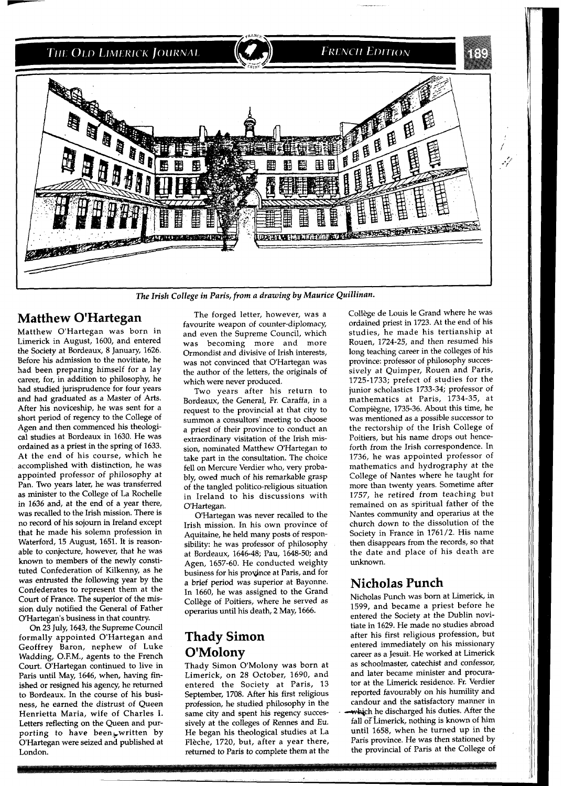

*7'he Irish College in Paris, from a drawing by Maurice Quillinan.* 

#### **Matthew O'Hartegan**

Matthew O'Hartegan was born in Limerick in August, 1600, and entered the Society at Bordeaux, 8 January, 1626. Before his admission to the novitiate, he had been preparing himself for a lay career, for, in addition to philosophy, he had studied jurisprudence for four years and had graduated as a Master of Arts. After his noviceship, he was sent for a short period of regency to the College of Agen and then commenced his theological studies at Bordeaux in 1630. He was ordained as a priest in the spring of 1633. At the end of his course, which he accomplished with distinction, he was appointed professor of philosophy at Pan. Two years later, he was transferred as minister to the College of La Rochelle in 1636 and, at the end of a year there, was recalled to the Irish mission. There is no record of his sojourn in Ireland except that he made his solemn profession in Waterford, 15 August, 1651. It is reasonable to conjecture, however, that he was known to members of the newly constituted Confederation of Kilkenny, as he was entrusted the following year by the Confederates to represent them at the Court of France. The superior of the mission duly notified the General of Father O'Hartegan's business in that country.

On 23 July, 1643, the Supreme Council formally appointed O'Hartegan and Geoffrey Baron, nephew of Luke Wadding, O.F.M., agents to the French Court. O'Hartegan continued to live in Paris until May, 1646, when, having finished or resigned his agency, he returned to Bordeaux. In the course of his business, he earned the distrust of Queen Henrietta Maria, wife of Charles I. Letters reflecting on the Queen and purporting to have been, written by O'Hartegan were seized and published at London.

The forged letter, however, was a favourite weapon of counter-diplomacy, and even the Supreme Council, which was becoming more and more Ormondist and divisive of Irish interests, was not convinced that O'Hartegan was the author of the letters, the originals of which were never produced.

Two years after his return to Bordeaux, the General, Fr. Caraffa, in a request to the provincial at that city to summon a consultors' meeting to choose a priest of their province to conduct an extraordinary visitation of the Irish mission, nominated Matthew O'Hartegan to take part in the consultation. The choice fell on Mercure Verdier who, very probably, owed much of his remarkable grasp of the tangled politico-religious situation in Ireland to his discussions with O'Hartegan.

O'Hartegan was never recalled to the Irish mission. In his own province of Aquitaine, he held many posts of responsibility: he was professor of philosophy at Bordeaux, 1646-48; Pau, 1648-50; and Agen, 1657-60. He conducted weighty business for his province at Paris, and for a brief period was superior at Bayonne. In 1660, he was assigned to the Grand College of Poitiers, where he served as operarius until his death, 2 May, 1666.

# **Thady Simon O'Molony**

Thady Simon O'Molony was born at Limerick, on 28 October, 1690, and entered the Society at Paris, 13 September, 1708. After his first religious profession, he studied philosophy in the same city and spent his regency successively at the colleges of Rennes and Eu. He began his theological studies at La Flèche, 1720, but, after a year there, returned to Paris to complete them at the College de Louis le Grand where he was ordained priest in 1723. At the end of his studies, he made his tertianship at Rouen, 1724-25, and then resumed his long teaching career in the colleges of his province: professor of philosophy successively at Quimper, Rouen and Paris, 1725-1733; prefect of studies for the junior scholastics 1733-34; professor of mathematics at Paris, 1734-35, at Compiegne, 1735-36. About this time, he was mentioned as a possible successor to the rectorship of the Irish College of Poitiers, but his name drops out henceforth from the Irish correspondence. In 1736, he was appointed professor of mathematics and hydrography at the College of Nantes where he taught for more than twenty years. Sometime after 1757, he retired from teaching but remained on as spiritual father of the Nantes community and operarius at the church down to the dissolution of the Society in France in 1761/2. His name then disappears from the records, so that the date and place of his death are unknown.

### **Nicholas Punch**

Nicholas Punch was born at Limerick, in 1599, and became a priest before he entered the Society at the Dublin novitiate in 1629. He made no studies abroad after his first religious profession, but entered immediately on his missionary career as a Jesuit. He worked at Limerick as schoolmaster, catechist and confessor, and later became minister and procurator at the Limerick residence. Fr. Verdier reported favourably on his humility and candour and the satisfactory manner in which he discharged his duties. After the fall of Limerick, nothing is known of him until 1658, when he turned up in the Paris province. He was then stationed by the provincial of Paris at the College of